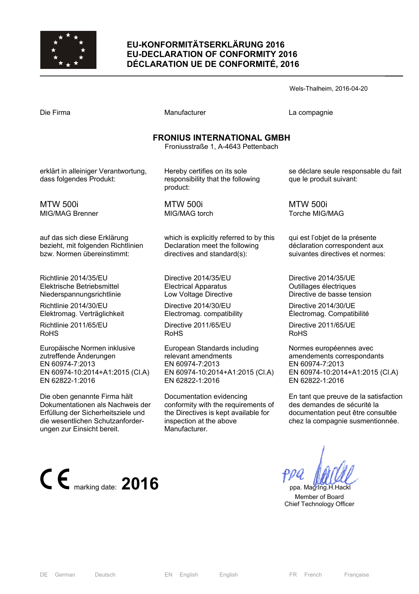

## **EU-KONFORMITÄTSERKLÄRUNG 2016 EU-DECLARATION OF CONFORMITY 2016 DÉCLARATION UE DE CONFORMITÉ, 2016**

Manufacturer **Compagnie** La compagnie

#### **FRONIUS INTERNATIONAL GMBH**

Froniusstraße 1, A-4643 Pettenbach

erklärt in alleiniger Verantwortung, dass folgendes Produkt:

MTW 500i MIG/MAG Brenner

auf das sich diese Erklärung bezieht, mit folgenden Richtlinien bzw. Normen übereinstimmt:

Richtlinie 2014/35/EU Elektrische Betriebsmittel Niederspannungsrichtlinie

Richtlinie 2014/30/EU Elektromag. Verträglichkeit

Richtlinie 2011/65/EU RoHS

Europäische Normen inklusive zutreffende Änderungen EN 60974-7:2013 EN 60974-10:2014+A1:2015 (Cl.A) EN 62822-1:2016

Die oben genannte Firma hält Dokumentationen als Nachweis der Erfüllung der Sicherheitsziele und die wesentlichen Schutzanforderungen zur Einsicht bereit.



Hereby certifies on its sole responsibility that the following product:

MTW 500i MIG/MAG torch

which is explicitly referred to by this Declaration meet the following directives and standard(s):

Directive 2014/35/EU Electrical Apparatus Low Voltage Directive

Directive 2014/30/EU Electromag. compatibility

Directive 2011/65/EU RoHS

European Standards including relevant amendments EN 60974-7:2013 EN 60974-10:2014+A1:2015 (Cl.A) EN 62822-1:2016

Documentation evidencing conformity with the requirements of the Directives is kept available for inspection at the above Manufacturer.

se déclare seule responsable du fait que le produit suivant:

MTW 500i Torche MIG/MAG

qui est l'objet de la présente déclaration correspondent aux suivantes directives et normes:

Directive 2014/35/UE Outillages électriques Directive de basse tension

Directive 2014/30/UE Électromag. Compatibilité

Directive 2011/65/UE RoHS

Normes européennes avec amendements correspondants EN 60974-7:2013 EN 60974-10:2014+A1:2015 (Cl.A) EN 62822-1:2016

En tant que preuve de la satisfaction des demandes de sécurité la documentation peut être consultée chez la compagnie susmentionnée.

 Member of Board Chief Technology Officer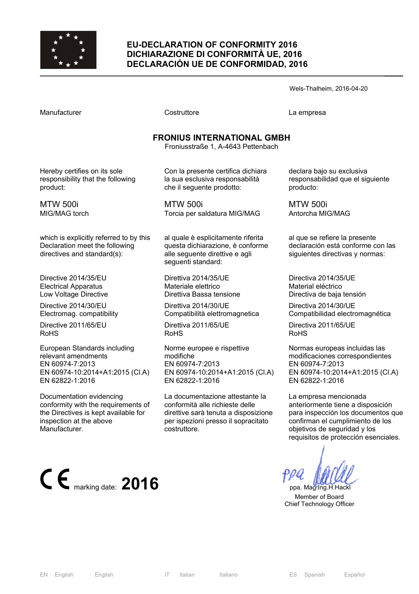

### **EU-DECLARATION OF CONFORMITY 2016 DICHIARAZIONE DI CONFORMITÀ UE, 2016 DECLARACIÓN UE DE CONFORMIDAD, 2016**

Wels-Thalheim, 2016-04-20

Manufacturer Costruttore La empresa

# **FRONIUS INTERNATIONAL GMBH**

Froniusstraße 1, A-4643 Pettenbach

Hereby certifies on its sole responsibility that the following product:

MTW 500i MIG/MAG torch

which is explicitly referred to by this Declaration meet the following directives and standard(s):

Directive 2014/35/EU Electrical Apparatus Low Voltage Directive

Directive 2014/30/EU Electromag. compatibility

Directive 2011/65/EU RoHS

European Standards including relevant amendments EN 60974-7:2013 EN 60974-10:2014+A1:2015 (Cl.A) EN 62822-1:2016

Documentation evidencing conformity with the requirements of the Directives is kept available for inspection at the above Manufacturer.



Con la presente certifica dichiara la sua esclusiva responsabilità che il seguente prodotto:

MTW 500i Torcia per saldatura MIG/MAG

al quale è esplicitamente riferita questa dichiarazione, è conforme alle seguente direttive e agli seguenti standard:

Direttiva 2014/35/UE Materiale elettrico Direttiva Bassa tensione

Direttiva 2014/30/UE Compatibilità elettromagnetica

Direttiva 2011/65/UE RoHS

Norme europee e rispettive modifiche EN 60974-7:2013 EN 60974-10:2014+A1:2015 (Cl.A) EN 62822-1:2016

La documentazione attestante la conformità alle richieste delle direttive sarà tenuta a disposizione per ispezioni presso il sopracitato costruttore.

declara bajo su exclusiva responsabilidad que el siguiente producto:

MTW 500i Antorcha MIG/MAG

al que se refiere la presente declaración está conforme con las siguientes directivas y normas:

Directiva 2014/35/UE Material eléctrico Directiva de baja tensión

Directiva 2014/30/UE Compatibilidad electromagnética

Directiva 2011/65/UE RoHS

Normas europeas incluidas las modificaciones correspondientes EN 60974-7:2013 EN 60974-10:2014+A1:2015 (Cl.A) EN 62822-1:2016

La empresa mencionada anteriormente tiene a disposición para inspección los documentos que confirman el cumplimiento de los objetivos de seguridad y los requisitos de protección esenciales.

 Member of Board Chief Technology Officer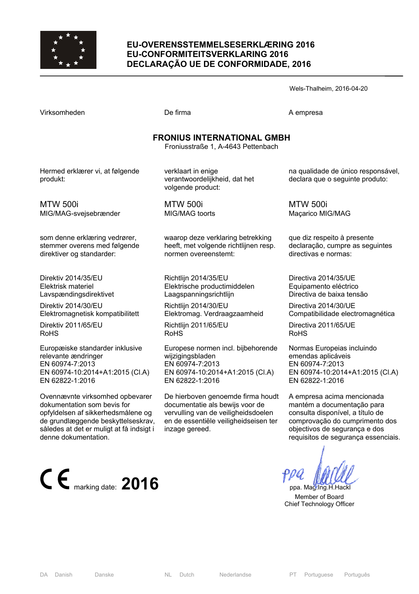

### **EU-OVERENSSTEMMELSESERKLÆRING 2016 EU-CONFORMITEITSVERKLARING 2016 DECLARAÇÃO UE DE CONFORMIDADE, 2016**

Wels-Thalheim, 2016-04-20

Virksomheden **De firma** De firma A empresa

MTW 500i

## **FRONIUS INTERNATIONAL GMBH**

Froniusstraße 1, A-4643 Pettenbach

Hermed erklærer vi, at følgende produkt:

verklaart in enige verantwoordelijkheid, dat het volgende product:

MIG/MAG-svejsebrænder

som denne erklæring vedrører, stemmer overens med følgende direktiver og standarder:

Direktiv 2014/35/EU Elektrisk materiel Lavspændingsdirektivet

Direktiv 2014/30/EU Elektromagnetisk kompatibilitett

Direktiv 2011/65/EU RoHS

Europæiske standarder inklusive relevante ændringer EN 60974-7:2013 EN 60974-10:2014+A1:2015 (Cl.A) EN 62822-1:2016

Ovennævnte virksomhed opbevarer dokumentation som bevis for opfyldelsen af sikkerhedsmålene og de grundlæggende beskyttelseskrav, således at det er muligt at få indsigt i denne dokumentation.



MTW 500i MIG/MAG toorts

waarop deze verklaring betrekking heeft, met volgende richtlijnen resp. normen overeenstemt:

Richtlijn 2014/35/EU Elektrische productimiddelen Laagspanningsrichtlijn

Richtlijn 2014/30/EU Elektromag. Verdraagzaamheid

Richtlijn 2011/65/EU RoHS

Europese normen incl. bijbehorende wijzigingsbladen EN 60974-7:2013 EN 60974-10:2014+A1:2015 (Cl.A) EN 62822-1:2016

De hierboven genoemde firma houdt documentatie als bewijs voor de vervulling van de veiligheidsdoelen en de essentiële veiligheidseisen ter inzage gereed.

na qualidade de único responsável, declara que o seguinte produto:

MTW 500i Maçarico MIG/MAG

que diz respeito à presente declaração, cumpre as seguintes directivas e normas:

Directiva 2014/35/UE Equipamento eléctrico Directiva de baixa tensão

Directiva 2014/30/UE Compatibilidade electromagnética

Directiva 2011/65/UE RoHS

Normas Europeias incluindo emendas aplicáveis EN 60974-7:2013 EN 60974-10:2014+A1:2015 (Cl.A) EN 62822-1:2016

A empresa acima mencionada mantém a documentação para consulta disponível, a título de comprovação do cumprimento dos objectivos de segurança e dos requisitos de segurança essenciais.

 Member of Board Chief Technology Officer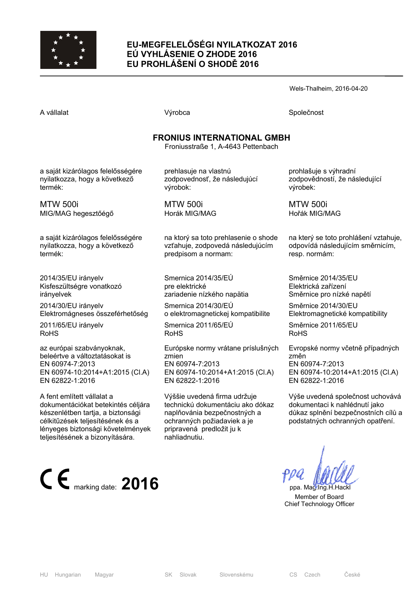

## **EU-MEGFELELŐSÉGI NYILATKOZAT 2016 EÚ VYHLÁSENIE O ZHODE 2016 EU PROHLÁŠENÍ O SHODĚ 2016**

Wels-Thalheim, 2016-04-20

A vállalat Společnost Národová výrobca Na vállalat Společnost Společnost Společnost Společnost Společnost Společnost

## **FRONIUS INTERNATIONAL GMBH**

Froniusstraße 1, A-4643 Pettenbach

a saját kizárólagos felelősségére nyilatkozza, hogy a következő termék:

MTW 500i MIG/MAG hegesztőégő

a saját kizárólagos felelősségére nyilatkozza, hogy a következő termék:

2014/35/EU irányelv Kisfeszültségre vonatkozó irányelvek

2014/30/EU irányelv Elektromágneses összeférhetőség

2011/65/EU irányelv RoHS

az európai szabványoknak, beleértve a változtatásokat is EN 60974-7:2013 EN 60974-10:2014+A1:2015 (Cl.A) EN 62822-1:2016

A fent említett vállalat a dokumentációkat betekintés céljára készenlétben tartja, a biztonsági célkitűzések teljesítésének és a lényeges biztonsági követelmények teljesítésének a bizonyítására.



prehlasuje na vlastnú zodpovednosť, že následujúcí výrobok:

MTW 500i Horák MIG/MAG

na ktorý sa toto prehlasenie o shode vzťahuje, zodpovedá následujúcím predpisom a normam:

Smernica 2014/35/EÚ pre elektrické zariadenie nízkého napätia

Smernica 2014/30/EÚ o elektromagnetickej kompatibilite

Smernica 2011/65/EÚ RoHS

Európske normy vrátane príslušných zmien EN 60974-7:2013 EN 60974-10:2014+A1:2015 (Cl.A) EN 62822-1:2016

Výššie uvedená firma udržuje technickú dokumentáciu ako dókaz naplňovánia bezpečnostných a ochranných požiadaviek a je pripravená predložit ju k nahliadnutiu.

prohlašuje s výhradní zodpovědností, že následující výrobek:

MTW 500i Hořák MIG/MAG

na který se toto prohlášení vztahuje, odpovídá následujícím směrnicím, resp. normám:

Směrnice 2014/35/EU Elektrická zařízení Směrnice pro nízké napětí

Směrnice 2014/30/EU Elektromagnetické kompatibility

Směrnice 2011/65/EU RoHS

Evropské normy včetně případných změn EN 60974-7:2013 EN 60974-10:2014+A1:2015 (Cl.A) EN 62822-1:2016

Výše uvedená společnost uchovává dokumentaci k nahlédnutí jako důkaz splnění bezpečnostních cílů a podstatných ochranných opatření.

 Member of Board Chief Technology Officer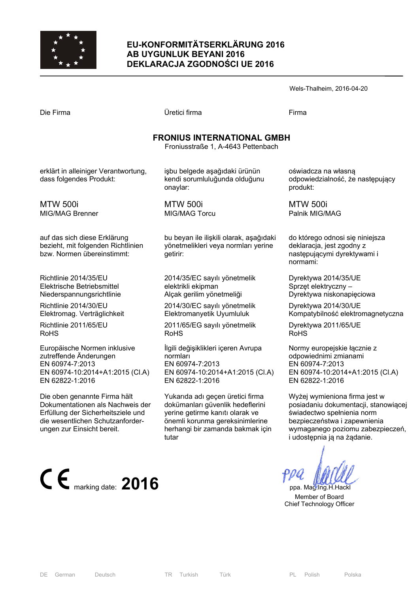

### **EU-KONFORMITÄTSERKLÄRUNG 2016 AB UYGUNLUK BEYANI 2016 DEKLARACJA ZGODNOŚCI UE 2016**

| Wels-Thalheim, 2016-04-20 |  |
|---------------------------|--|
|---------------------------|--|

| Die Firma |
|-----------|
|-----------|

Die Firma Üretici firma Firma

## **FRONIUS INTERNATIONAL GMBH**

Froniusstraße 1, A-4643 Pettenbach

erklärt in alleiniger Verantwortung, dass folgendes Produkt:

MTW 500i MIG/MAG Brenner

auf das sich diese Erklärung bezieht, mit folgenden Richtlinien bzw. Normen übereinstimmt:

Richtlinie 2014/35/EU Elektrische Betriebsmittel Niederspannungsrichtlinie

Richtlinie 2014/30/EU Elektromag. Verträglichkeit

Richtlinie 2011/65/EU RoHS

Europäische Normen inklusive zutreffende Änderungen EN 60974-7:2013 EN 60974-10:2014+A1:2015 (Cl.A) EN 62822-1:2016

Die oben genannte Firma hält Dokumentationen als Nachweis der Erfüllung der Sicherheitsziele und die wesentlichen Schutzanforderungen zur Einsicht bereit.



işbu belgede aşağıdaki ürünün kendi sorumluluğunda olduğunu onaylar:

MTW 500i MIG/MAG Torcu

bu beyan ile ilişkili olarak, aşağıdaki yönetmelikleri veya normları yerine getirir:

2014/35/EC sayılı yönetmelik elektrikli ekipman Alçak gerilim yönetmeliği

2014/30/EC sayılı yönetmelik Elektromanyetik Uyumluluk

2011/65/EG sayılı yönetmelik RoHS

İlgili değişiklikleri içeren Avrupa normları EN 60974-7:2013 EN 60974-10:2014+A1:2015 (Cl.A) EN 62822-1:2016

Yukarıda adı geçen üretici firma dokümanları güvenlik hedeflerini yerine getirme kanıtı olarak ve önemli korunma gereksinimlerine herhangi bir zamanda bakmak için tutar

oświadcza na własną odpowiedzialność, że następujący produkt:

MTW 500i Palnik MIG/MAG

do którego odnosi się niniejsza deklaracja, jest zgodny z następującymi dyrektywami i normami:

Dyrektywa 2014/35/UE Sprzęt elektryczny – Dyrektywa niskonapięciowa

Dyrektywa 2014/30/UE Kompatybilność elektromagnetyczna

Dyrektywa 2011/65/UE RoHS

Normy europejskie łącznie z odpowiednimi zmianami EN 60974-7:2013 EN 60974-10:2014+A1:2015 (Cl.A) EN 62822-1:2016

Wyżej wymieniona firma jest w posiadaniu dokumentacji, stanowiącej świadectwo spełnienia norm bezpieczeństwa i zapewnienia wymaganego poziomu zabezpieczeń, i udostępnia ją na żądanie.

 Member of Board Chief Technology Officer